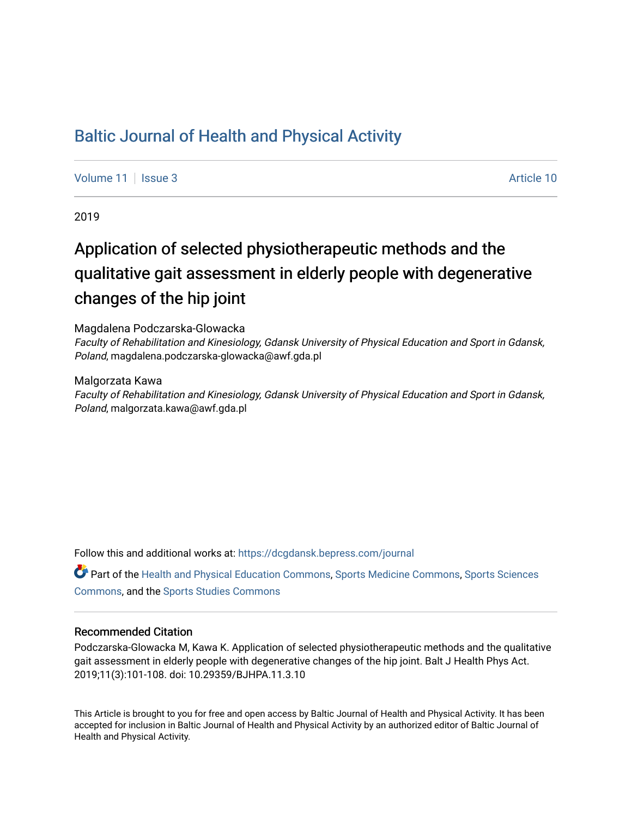# [Baltic Journal of Health and Physical Activity](https://dcgdansk.bepress.com/journal)

[Volume 11](https://dcgdansk.bepress.com/journal/vol11) | [Issue 3](https://dcgdansk.bepress.com/journal/vol11/iss3) Article 10

2019

# Application of selected physiotherapeutic methods and the qualitative gait assessment in elderly people with degenerative changes of the hip joint

Magdalena Podczarska-Glowacka

Faculty of Rehabilitation and Kinesiology, Gdansk University of Physical Education and Sport in Gdansk, Poland, magdalena.podczarska-glowacka@awf.gda.pl

Malgorzata Kawa

Faculty of Rehabilitation and Kinesiology, Gdansk University of Physical Education and Sport in Gdansk, Poland, malgorzata.kawa@awf.gda.pl

Follow this and additional works at: [https://dcgdansk.bepress.com/journal](https://dcgdansk.bepress.com/journal?utm_source=dcgdansk.bepress.com%2Fjournal%2Fvol11%2Fiss3%2F10&utm_medium=PDF&utm_campaign=PDFCoverPages)

Part of the [Health and Physical Education Commons](http://network.bepress.com/hgg/discipline/1327?utm_source=dcgdansk.bepress.com%2Fjournal%2Fvol11%2Fiss3%2F10&utm_medium=PDF&utm_campaign=PDFCoverPages), [Sports Medicine Commons,](http://network.bepress.com/hgg/discipline/1331?utm_source=dcgdansk.bepress.com%2Fjournal%2Fvol11%2Fiss3%2F10&utm_medium=PDF&utm_campaign=PDFCoverPages) [Sports Sciences](http://network.bepress.com/hgg/discipline/759?utm_source=dcgdansk.bepress.com%2Fjournal%2Fvol11%2Fiss3%2F10&utm_medium=PDF&utm_campaign=PDFCoverPages) [Commons](http://network.bepress.com/hgg/discipline/759?utm_source=dcgdansk.bepress.com%2Fjournal%2Fvol11%2Fiss3%2F10&utm_medium=PDF&utm_campaign=PDFCoverPages), and the [Sports Studies Commons](http://network.bepress.com/hgg/discipline/1198?utm_source=dcgdansk.bepress.com%2Fjournal%2Fvol11%2Fiss3%2F10&utm_medium=PDF&utm_campaign=PDFCoverPages) 

### Recommended Citation

Podczarska-Glowacka M, Kawa K. Application of selected physiotherapeutic methods and the qualitative gait assessment in elderly people with degenerative changes of the hip joint. Balt J Health Phys Act. 2019;11(3):101-108. doi: 10.29359/BJHPA.11.3.10

This Article is brought to you for free and open access by Baltic Journal of Health and Physical Activity. It has been accepted for inclusion in Baltic Journal of Health and Physical Activity by an authorized editor of Baltic Journal of Health and Physical Activity.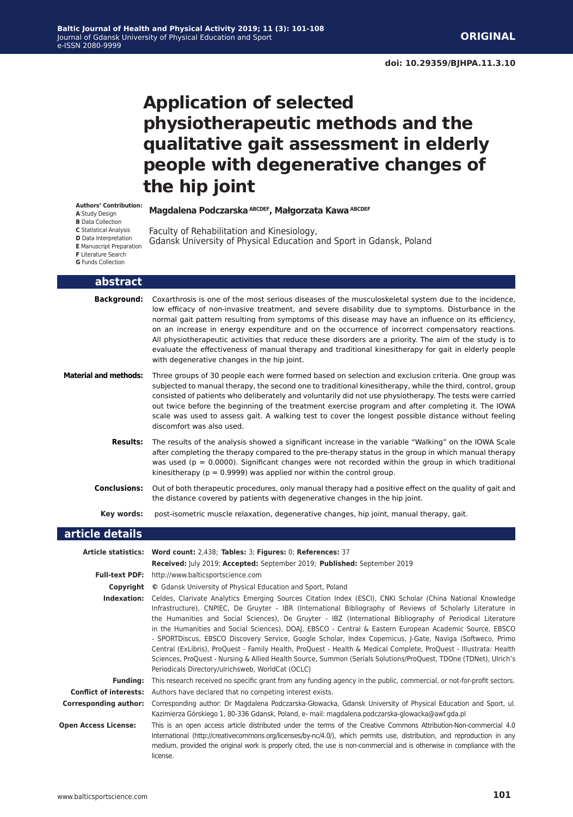# **Application of selected physiotherapeutic methods and the qualitative gait assessment in elderly people with degenerative changes of the hip joint**

#### **Authors' Contribution:**

**A** Study Design

**B** Data Collection

**C** Statistical Analysis

- **D** Data Interpretation
- **E** Manuscript Preparation
- **F** Literature Search **G** Funds Collection
- 

#### **abstract**

**Background:** Coxarthrosis is one of the most serious diseases of the musculoskeletal system due to the incidence, low efficacy of non-invasive treatment, and severe disability due to symptoms. Disturbance in the normal gait pattern resulting from symptoms of this disease may have an influence on its efficiency, on an increase in energy expenditure and on the occurrence of incorrect compensatory reactions. All physiotherapeutic activities that reduce these disorders are a priority. The aim of the study is to evaluate the effectiveness of manual therapy and traditional kinesitherapy for gait in elderly people with degenerative changes in the hip joint.

Gdansk University of Physical Education and Sport in Gdansk, Poland

**Magdalena Podczarska ABCDEF, Małgorzata Kawa ABCDEF**

Faculty of Rehabilitation and Kinesiology,

- **Material and methods:** Three groups of 30 people each were formed based on selection and exclusion criteria. One group was subjected to manual therapy, the second one to traditional kinesitherapy, while the third, control, group consisted of patients who deliberately and voluntarily did not use physiotherapy. The tests were carried out twice before the beginning of the treatment exercise program and after completing it. The IOWA scale was used to assess gait. A walking test to cover the longest possible distance without feeling discomfort was also used.
	- **Results:** The results of the analysis showed a significant increase in the variable "Walking" on the IOWA Scale after completing the therapy compared to the pre-therapy status in the group in which manual therapy was used ( $p = 0.0000$ ). Significant changes were not recorded within the group in which traditional kinesitherapy ( $p = 0.9999$ ) was applied nor within the control group.
	- **Conclusions:** Out of both therapeutic procedures, only manual therapy had a positive effect on the quality of gait and the distance covered by patients with degenerative changes in the hip joint.
		- **Key words:** post-isometric muscle relaxation, degenerative changes, hip joint, manual therapy, gait.

#### **article details**

|                             | Article statistics: Word count: 2,438; Tables: 3; Figures: 0; References: 37                                                                                                                                                                                                                                                                                                                                                                                                                                                                                                                                                                                                                                                                                                                                                                                  |
|-----------------------------|---------------------------------------------------------------------------------------------------------------------------------------------------------------------------------------------------------------------------------------------------------------------------------------------------------------------------------------------------------------------------------------------------------------------------------------------------------------------------------------------------------------------------------------------------------------------------------------------------------------------------------------------------------------------------------------------------------------------------------------------------------------------------------------------------------------------------------------------------------------|
|                             | Received: July 2019; Accepted: September 2019; Published: September 2019                                                                                                                                                                                                                                                                                                                                                                                                                                                                                                                                                                                                                                                                                                                                                                                      |
|                             | <b>Full-text PDF:</b> http://www.balticsportscience.com                                                                                                                                                                                                                                                                                                                                                                                                                                                                                                                                                                                                                                                                                                                                                                                                       |
| Copyright                   | © Gdansk University of Physical Education and Sport, Poland                                                                                                                                                                                                                                                                                                                                                                                                                                                                                                                                                                                                                                                                                                                                                                                                   |
| Indexation:                 | Celdes, Clarivate Analytics Emerging Sources Citation Index (ESCI), CNKI Scholar (China National Knowledge<br>Infrastructure), CNPIEC, De Gruyter - IBR (International Bibliography of Reviews of Scholarly Literature in<br>the Humanities and Social Sciences), De Gruyter - IBZ (International Bibliography of Periodical Literature<br>in the Humanities and Social Sciences), DOAJ, EBSCO - Central & Eastern European Academic Source, EBSCO<br>- SPORTDiscus, EBSCO Discovery Service, Google Scholar, Index Copernicus, J-Gate, Naviga (Softweco, Primo<br>Central (ExLibris), ProQuest - Family Health, ProQuest - Health & Medical Complete, ProQuest - Illustrata: Health<br>Sciences, ProQuest - Nursing & Allied Health Source, Summon (Serials Solutions/ProQuest, TDOne (TDNet), Ulrich's<br>Periodicals Directory/ulrichsweb, WorldCat (OCLC) |
| <b>Funding:</b>             | This research received no specific grant from any funding agency in the public, commercial, or not-for-profit sectors.                                                                                                                                                                                                                                                                                                                                                                                                                                                                                                                                                                                                                                                                                                                                        |
|                             | <b>Conflict of interests:</b> Authors have declared that no competing interest exists.                                                                                                                                                                                                                                                                                                                                                                                                                                                                                                                                                                                                                                                                                                                                                                        |
| Corresponding author:       | Corresponding author: Dr Magdalena Podczarska-Głowacka, Gdansk University of Physical Education and Sport, ul.<br>Kazimierza Górskiego 1, 80-336 Gdansk, Poland, e- mail: magdalena.podczarska-glowacka@awf.gda.pl                                                                                                                                                                                                                                                                                                                                                                                                                                                                                                                                                                                                                                            |
| <b>Open Access License:</b> | This is an open access article distributed under the terms of the Creative Commons Attribution-Non-commercial 4.0<br>International (http://creativecommons.org/licenses/by-nc/4.0/), which permits use, distribution, and reproduction in any<br>medium, provided the original work is properly cited, the use is non-commercial and is otherwise in compliance with the<br>license.                                                                                                                                                                                                                                                                                                                                                                                                                                                                          |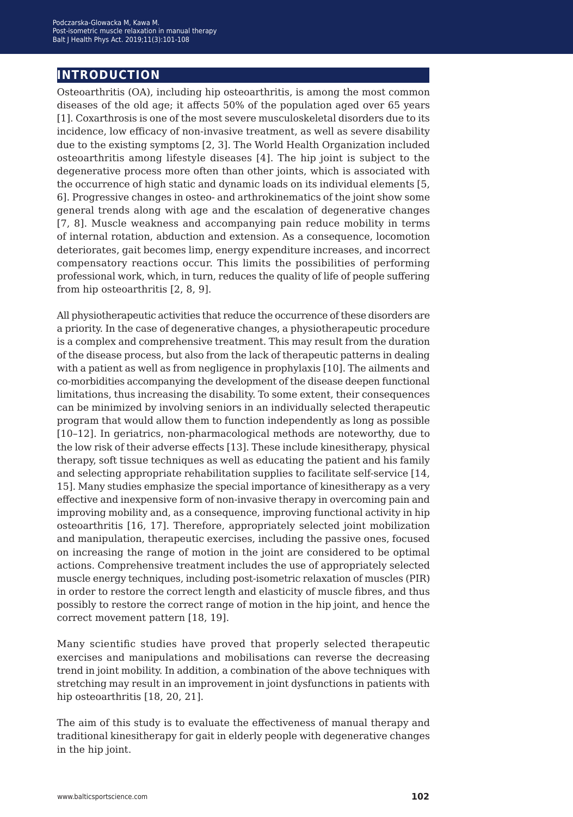## **introduction**

Osteoarthritis (OA), including hip osteoarthritis, is among the most common diseases of the old age; it affects 50% of the population aged over 65 years [1]. Coxarthrosis is one of the most severe musculoskeletal disorders due to its incidence, low efficacy of non-invasive treatment, as well as severe disability due to the existing symptoms [2, 3]. The World Health Organization included osteoarthritis among lifestyle diseases [4]. The hip joint is subject to the degenerative process more often than other joints, which is associated with the occurrence of high static and dynamic loads on its individual elements [5, 6]. Progressive changes in osteo- and arthrokinematics of the joint show some general trends along with age and the escalation of degenerative changes [7, 8]. Muscle weakness and accompanying pain reduce mobility in terms of internal rotation, abduction and extension. As a consequence, locomotion deteriorates, gait becomes limp, energy expenditure increases, and incorrect compensatory reactions occur. This limits the possibilities of performing professional work, which, in turn, reduces the quality of life of people suffering from hip osteoarthritis [2, 8, 9].

All physiotherapeutic activities that reduce the occurrence of these disorders are a priority. In the case of degenerative changes, a physiotherapeutic procedure is a complex and comprehensive treatment. This may result from the duration of the disease process, but also from the lack of therapeutic patterns in dealing with a patient as well as from negligence in prophylaxis [10]. The ailments and co-morbidities accompanying the development of the disease deepen functional limitations, thus increasing the disability. To some extent, their consequences can be minimized by involving seniors in an individually selected therapeutic program that would allow them to function independently as long as possible [10–12]. In geriatrics, non-pharmacological methods are noteworthy, due to the low risk of their adverse effects [13]. These include kinesitherapy, physical therapy, soft tissue techniques as well as educating the patient and his family and selecting appropriate rehabilitation supplies to facilitate self-service [14, 15]. Many studies emphasize the special importance of kinesitherapy as a very effective and inexpensive form of non-invasive therapy in overcoming pain and improving mobility and, as a consequence, improving functional activity in hip osteoarthritis [16, 17]. Therefore, appropriately selected joint mobilization and manipulation, therapeutic exercises, including the passive ones, focused on increasing the range of motion in the joint are considered to be optimal actions. Comprehensive treatment includes the use of appropriately selected muscle energy techniques, including post-isometric relaxation of muscles (PIR) in order to restore the correct length and elasticity of muscle fibres, and thus possibly to restore the correct range of motion in the hip joint, and hence the correct movement pattern [18, 19].

Many scientific studies have proved that properly selected therapeutic exercises and manipulations and mobilisations can reverse the decreasing trend in joint mobility. In addition, a combination of the above techniques with stretching may result in an improvement in joint dysfunctions in patients with hip osteoarthritis [18, 20, 21].

The aim of this study is to evaluate the effectiveness of manual therapy and traditional kinesitherapy for gait in elderly people with degenerative changes in the hip joint.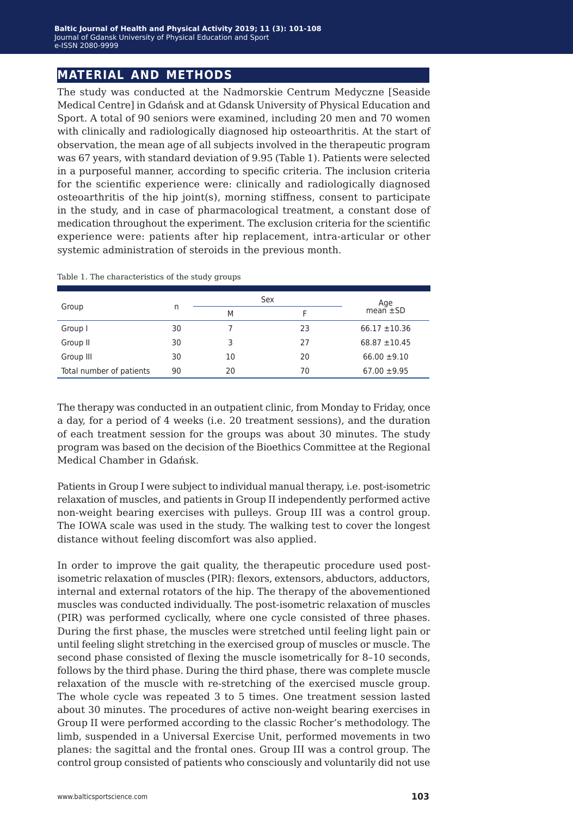## **material and methods**

The study was conducted at the Nadmorskie Centrum Medyczne [Seaside Medical Centre] in Gdańsk and at Gdansk University of Physical Education and Sport. A total of 90 seniors were examined, including 20 men and 70 women with clinically and radiologically diagnosed hip osteoarthritis. At the start of observation, the mean age of all subjects involved in the therapeutic program was 67 years, with standard deviation of 9.95 (Table 1). Patients were selected in a purposeful manner, according to specific criteria. The inclusion criteria for the scientific experience were: clinically and radiologically diagnosed osteoarthritis of the hip joint(s), morning stiffness, consent to participate in the study, and in case of pharmacological treatment, a constant dose of medication throughout the experiment. The exclusion criteria for the scientific experience were: patients after hip replacement, intra-articular or other systemic administration of steroids in the previous month.

|                          |    | Sex | Age |                   |
|--------------------------|----|-----|-----|-------------------|
| Group                    | n  | M   |     | $mean \pm SD$     |
| Group I                  | 30 |     | 23  | $66.17 \pm 10.36$ |
| Group II                 | 30 | 3   | 27  | $68.87 \pm 10.45$ |
| Group III                | 30 | 10  | 20  | $66.00 \pm 9.10$  |
| Total number of patients | 90 | 20  | 70  | $67.00 \pm 9.95$  |

Table 1. The characteristics of the study groups

The therapy was conducted in an outpatient clinic, from Monday to Friday, once a day, for a period of 4 weeks (i.e. 20 treatment sessions), and the duration of each treatment session for the groups was about 30 minutes. The study program was based on the decision of the Bioethics Committee at the Regional Medical Chamber in Gdańsk.

Patients in Group I were subject to individual manual therapy, i.e. post-isometric relaxation of muscles, and patients in Group II independently performed active non-weight bearing exercises with pulleys. Group III was a control group. The IOWA scale was used in the study. The walking test to cover the longest distance without feeling discomfort was also applied.

In order to improve the gait quality, the therapeutic procedure used postisometric relaxation of muscles (PIR): flexors, extensors, abductors, adductors, internal and external rotators of the hip. The therapy of the abovementioned muscles was conducted individually. The post-isometric relaxation of muscles (PIR) was performed cyclically, where one cycle consisted of three phases. During the first phase, the muscles were stretched until feeling light pain or until feeling slight stretching in the exercised group of muscles or muscle. The second phase consisted of flexing the muscle isometrically for 8–10 seconds, follows by the third phase. During the third phase, there was complete muscle relaxation of the muscle with re-stretching of the exercised muscle group. The whole cycle was repeated 3 to 5 times. One treatment session lasted about 30 minutes. The procedures of active non-weight bearing exercises in Group II were performed according to the classic Rocher's methodology. The limb, suspended in a Universal Exercise Unit, performed movements in two planes: the sagittal and the frontal ones. Group III was a control group. The control group consisted of patients who consciously and voluntarily did not use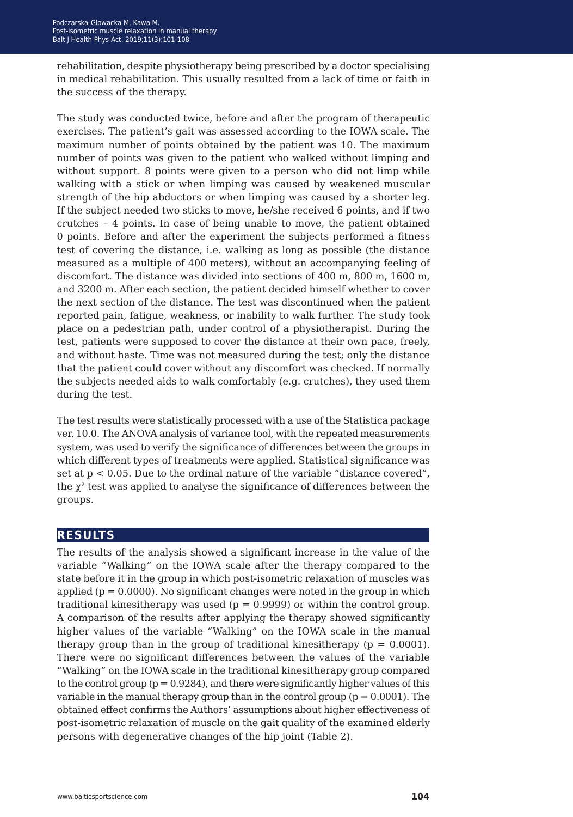rehabilitation, despite physiotherapy being prescribed by a doctor specialising in medical rehabilitation. This usually resulted from a lack of time or faith in the success of the therapy.

The study was conducted twice, before and after the program of therapeutic exercises. The patient's gait was assessed according to the IOWA scale. The maximum number of points obtained by the patient was 10. The maximum number of points was given to the patient who walked without limping and without support. 8 points were given to a person who did not limp while walking with a stick or when limping was caused by weakened muscular strength of the hip abductors or when limping was caused by a shorter leg. If the subject needed two sticks to move, he/she received 6 points, and if two crutches – 4 points. In case of being unable to move, the patient obtained 0 points. Before and after the experiment the subjects performed a fitness test of covering the distance, i.e. walking as long as possible (the distance measured as a multiple of 400 meters), without an accompanying feeling of discomfort. The distance was divided into sections of 400 m, 800 m, 1600 m, and 3200 m. After each section, the patient decided himself whether to cover the next section of the distance. The test was discontinued when the patient reported pain, fatigue, weakness, or inability to walk further. The study took place on a pedestrian path, under control of a physiotherapist. During the test, patients were supposed to cover the distance at their own pace, freely, and without haste. Time was not measured during the test; only the distance that the patient could cover without any discomfort was checked. If normally the subjects needed aids to walk comfortably (e.g. crutches), they used them during the test.

The test results were statistically processed with a use of the Statistica package ver. 10.0. The ANOVA analysis of variance tool, with the repeated measurements system, was used to verify the significance of differences between the groups in which different types of treatments were applied. Statistical significance was set at p < 0.05. Due to the ordinal nature of the variable "distance covered", the  $\chi^2$  test was applied to analyse the significance of differences between the groups.

## **results**

The results of the analysis showed a significant increase in the value of the variable "Walking" on the IOWA scale after the therapy compared to the state before it in the group in which post-isometric relaxation of muscles was applied  $(p = 0.0000)$ . No significant changes were noted in the group in which traditional kinesitherapy was used ( $p = 0.9999$ ) or within the control group. A comparison of the results after applying the therapy showed significantly higher values of the variable "Walking" on the IOWA scale in the manual therapy group than in the group of traditional kinesitherapy ( $p = 0.0001$ ). There were no significant differences between the values of the variable "Walking" on the IOWA scale in the traditional kinesitherapy group compared to the control group  $(p = 0.9284)$ , and there were significantly higher values of this variable in the manual therapy group than in the control group ( $p = 0.0001$ ). The obtained effect confirms the Authors' assumptions about higher effectiveness of post-isometric relaxation of muscle on the gait quality of the examined elderly persons with degenerative changes of the hip joint (Table 2).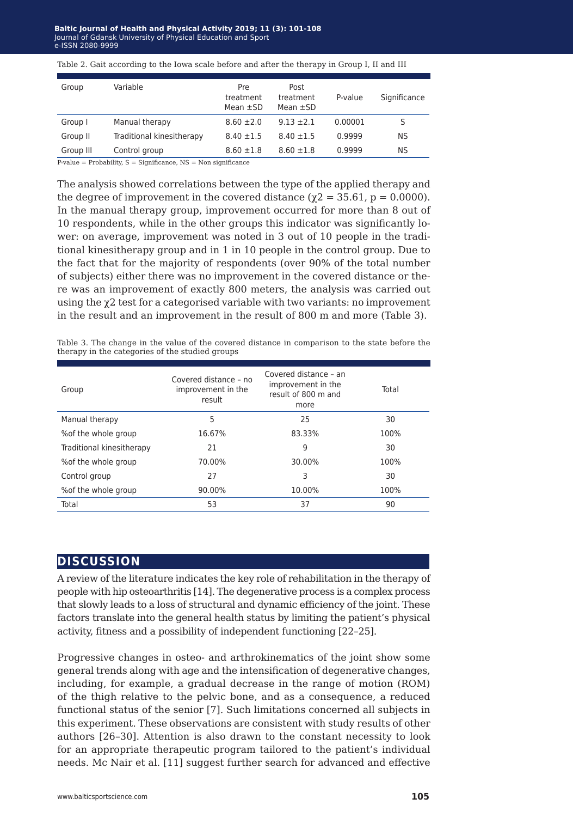#### Baltic Journal of Health and Physical Activity 2019; 11 (3): 101-108 Journal of Gdansk University of Physical Education and Sport e-ISSN 2080-9999 **e-ISSN** 2080-9999

#### Table 2. Gait according to the Iowa scale before and after the therapy in Group I, II and III

| Group     | Variable                  | <b>Pre</b><br>treatment<br>Mean $\pm$ SD | Post<br>treatment<br>Mean $\pm$ SD | P-value | Significance |
|-----------|---------------------------|------------------------------------------|------------------------------------|---------|--------------|
| Group I   | Manual therapy            | $8.60 \pm 2.0$                           | $9.13 \pm 2.1$                     | 0.00001 | S            |
| Group II  | Traditional kinesitherapy | $8.40 \pm 1.5$                           | $8.40 \pm 1.5$                     | 0.9999  | ΝS           |
| Group III | Control group             | $8.60 \pm 1.8$                           | $8.60 \pm 1.8$                     | 0.9999  | ΝS           |

 $P-value = Probability$ ,  $S = Similarance$ ,  $NS = Non$  significance

The analysis showed correlations between the type of the applied therapy and the degree of improvement in the covered distance ( $\gamma$ 2 = 35.61, p = 0.0000). In the manual therapy group, improvement occurred for more than 8 out of 10 respondents, while in the other groups this indicator was significantly lower: on average, improvement was noted in 3 out of 10 people in the traditional kinesitherapy group and in 1 in 10 people in the control group. Due to the fact that for the majority of respondents (over 90% of the total number of subjects) either there was no improvement in the covered distance or there was an improvement of exactly 800 meters, the analysis was carried out using the χ2 test for a categorised variable with two variants: no improvement in the result and an improvement in the result of 800 m and more (Table 3).

Table 3. The change in the value of the covered distance in comparison to the state before the therapy in the categories of the studied groups

| Group                     | Covered distance - no<br>improvement in the<br>result | Covered distance - an<br>improvement in the<br>result of 800 m and<br>more | Total |
|---------------------------|-------------------------------------------------------|----------------------------------------------------------------------------|-------|
| Manual therapy            | 5                                                     | 25                                                                         | 30    |
| % of the whole group      | 16.67%                                                | 83.33%                                                                     | 100%  |
| Traditional kinesitherapy | 21                                                    | 9                                                                          | 30    |
| % of the whole group      | 70.00%                                                | 30.00%                                                                     | 100%  |
| Control group             | 27                                                    | 3                                                                          | 30    |
| % of the whole group      | 90.00%                                                | 10.00%                                                                     | 100%  |
| Total                     | 53                                                    | 37                                                                         | 90    |

### **discussion**

A review of the literature indicates the key role of rehabilitation in the therapy of people with hip osteoarthritis [14]. The degenerative process is a complex process that slowly leads to a loss of structural and dynamic efficiency of the joint. These factors translate into the general health status by limiting the patient's physical activity, fitness and a possibility of independent functioning [22–25].

Progressive changes in osteo- and arthrokinematics of the joint show some general trends along with age and the intensification of degenerative changes, including, for example, a gradual decrease in the range of motion (ROM) of the thigh relative to the pelvic bone, and as a consequence, a reduced functional status of the senior [7]. Such limitations concerned all subjects in this experiment. These observations are consistent with study results of other authors [26–30]. Attention is also drawn to the constant necessity to look for an appropriate therapeutic program tailored to the patient's individual needs. Mc Nair et al. [11] suggest further search for advanced and effective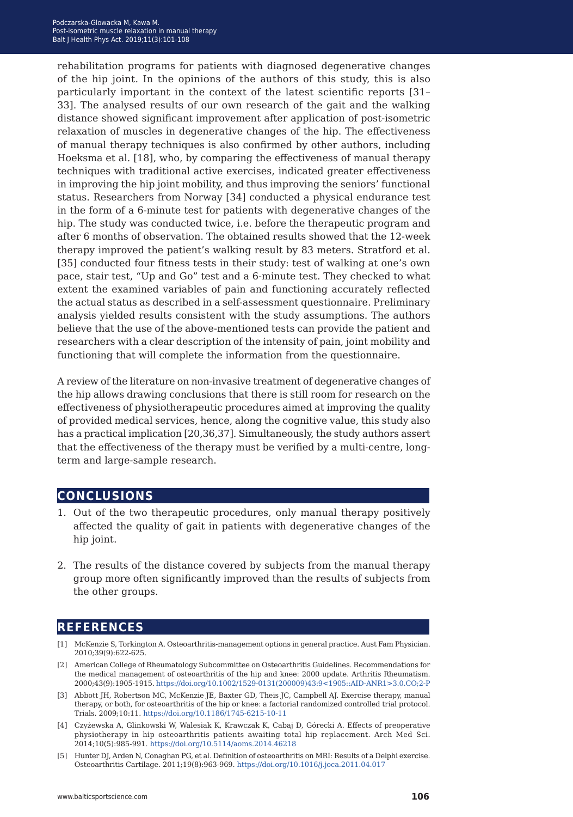rehabilitation programs for patients with diagnosed degenerative changes of the hip joint. In the opinions of the authors of this study, this is also particularly important in the context of the latest scientific reports [31– 33]. The analysed results of our own research of the gait and the walking distance showed significant improvement after application of post-isometric relaxation of muscles in degenerative changes of the hip. The effectiveness of manual therapy techniques is also confirmed by other authors, including Hoeksma et al. [18], who, by comparing the effectiveness of manual therapy techniques with traditional active exercises, indicated greater effectiveness in improving the hip joint mobility, and thus improving the seniors' functional status. Researchers from Norway [34] conducted a physical endurance test in the form of a 6-minute test for patients with degenerative changes of the hip. The study was conducted twice, i.e. before the therapeutic program and after 6 months of observation. The obtained results showed that the 12-week therapy improved the patient's walking result by 83 meters. Stratford et al. [35] conducted four fitness tests in their study: test of walking at one's own pace, stair test, "Up and Go" test and a 6-minute test. They checked to what extent the examined variables of pain and functioning accurately reflected the actual status as described in a self-assessment questionnaire. Preliminary analysis yielded results consistent with the study assumptions. The authors believe that the use of the above-mentioned tests can provide the patient and researchers with a clear description of the intensity of pain, joint mobility and functioning that will complete the information from the questionnaire.

A review of the literature on non-invasive treatment of degenerative changes of the hip allows drawing conclusions that there is still room for research on the effectiveness of physiotherapeutic procedures aimed at improving the quality of provided medical services, hence, along the cognitive value, this study also has a practical implication [20,36,37]. Simultaneously, the study authors assert that the effectiveness of the therapy must be verified by a multi-centre, longterm and large-sample research.

### **conclusions**

- 1. Out of the two therapeutic procedures, only manual therapy positively affected the quality of gait in patients with degenerative changes of the hip joint.
- 2. The results of the distance covered by subjects from the manual therapy group more often significantly improved than the results of subjects from the other groups.

## **references**

- [1] McKenzie S, Torkington A. Osteoarthritis-management options in general practice. Aust Fam Physician. 2010;39(9):622-625.
- [2] American College of Rheumatology Subcommittee on Osteoarthritis Guidelines. Recommendations for the medical management of osteoarthritis of the hip and knee: 2000 update. Arthritis Rheumatism. 2000;43(9):1905-1915. [https://doi.org/10.1002/1529-0131\(200009\)43:9<1905::AID-ANR1>3.0.CO;2-P](https://doi.org/10.1002/1529-0131(200009)43:9<1905::AID-ANR1>3.0.CO;2-P)
- [3] Abbott JH, Robertson MC, McKenzie JE, Baxter GD, Theis JC, Campbell AJ. Exercise therapy, manual therapy, or both, for osteoarthritis of the hip or knee: a factorial randomized controlled trial protocol. Trials. 2009;10:11. <https://doi.org/10.1186/1745-6215-10-11>
- [4] Czyżewska A, Glinkowski W, Walesiak K, Krawczak K, Cabaj D, Górecki A. Effects of preoperative physiotherapy in hip osteoarthritis patients awaiting total hip replacement. Arch Med Sci. 2014;10(5):985-991. <https://doi.org/10.5114/aoms.2014.46218>
- [5] Hunter DJ, Arden N, Conaghan PG, et al. Definition of osteoarthritis on MRI: Results of a Delphi exercise. Osteoarthritis Cartilage. 2011;19(8):963-969. <https://doi.org/10.1016/j.joca.2011.04.017>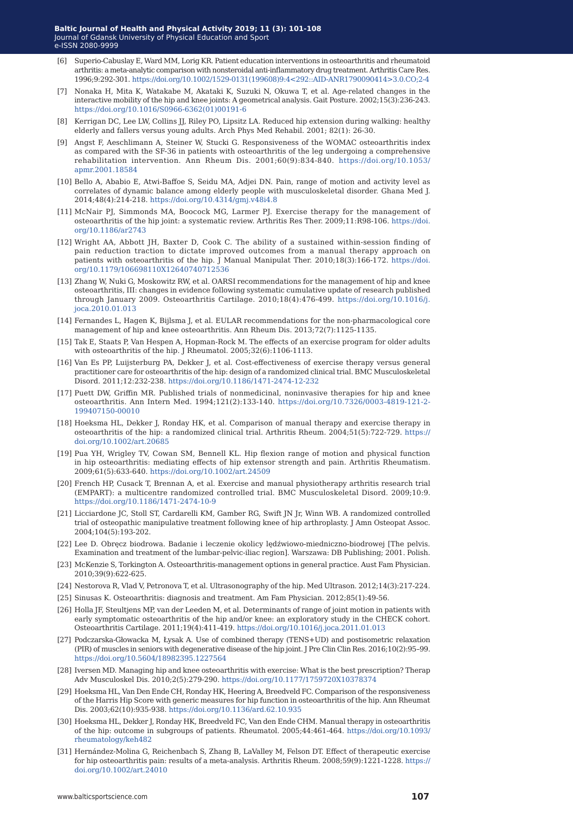- [6] Superio-Cabuslay E, Ward MM, Lorig KR. Patient education interventions in osteoarthritis and rheumatoid arthritis: a meta-analytic comparison with nonsteroidal anti-inflammatory drug treatment. Arthritis Care Res. 1996;9:292-301. [https://doi.org/10.1002/1529-0131\(199608\)9:4<292::AID-ANR1790090414>3.0.CO;2-4](https://doi.org/10.1002/1529-0131(199608)9:4<292::AID-ANR1790090414>3.0.CO;2-4)
- [7] Nonaka H, Mita K, Watakabe M, Akataki K, Suzuki N, Okuwa T, et al. Age-related changes in the interactive mobility of the hip and knee joints: A geometrical analysis. Gait Posture. 2002;15(3):236-243. [https://doi.org/10.1016/S0966-6362\(01\)00191-6](https://doi.org/10.1016/S0966-6362(01)00191-6)
- [8] Kerrigan DC, Lee LW, Collins JJ, Riley PO, Lipsitz LA. Reduced hip extension during walking: healthy elderly and fallers versus young adults. Arch Phys Med Rehabil. 2001; 82(1): 26-30.
- [9] Angst F, Aeschlimann A, Steiner W, Stucki G. Responsiveness of the WOMAC osteoarthritis index as compared with the SF-36 in patients with osteoarthritis of the leg undergoing a comprehensive rehabilitation intervention. Ann Rheum Dis. 2001;60(9):834-840. [https://doi.org/10.1053/](https://doi.org/10.1053/apmr.2001.18584) [apmr.2001.18584](https://doi.org/10.1053/apmr.2001.18584)
- [10] Bello A, Ababio E, Atwi-Baffoe S, Seidu MA, Adjei DN. Pain, range of motion and activity level as correlates of dynamic balance among elderly people with musculoskeletal disorder. Ghana Med J. 2014;48(4):214-218. <https://doi.org/10.4314/gmj.v48i4.8>
- [11] McNair PJ, Simmonds MA, Boocock MG, Larmer PJ. Exercise therapy for the management of osteoarthritis of the hip joint: a systematic review. Arthritis Res Ther. 2009;11:R98-106. [https://doi.](https://doi.org/10.1186/ar2743) [org/10.1186/ar2743](https://doi.org/10.1186/ar2743)
- [12] Wright AA, Abbott JH, Baxter D, Cook C. The ability of a sustained within-session finding of pain reduction traction to dictate improved outcomes from a manual therapy approach on patients with osteoarthritis of the hip. J Manual Manipulat Ther. 2010;18(3):166-172. [https://doi.](https://doi.org/10.1179/106698110X12640740712536) [org/10.1179/106698110X12640740712536](https://doi.org/10.1179/106698110X12640740712536)
- [13] Zhang W, Nuki G, Moskowitz RW, et al. OARSI recommendations for the management of hip and knee osteoarthritis, III: changes in evidence following systematic cumulative update of research published through January 2009. Osteoarthritis Cartilage. 2010;18(4):476-499. [https://doi.org/10.1016/j.](https://doi.org/10.1016/j.joca.2010.01.013) [joca.2010.01.013](https://doi.org/10.1016/j.joca.2010.01.013)
- [14] Fernandes L, Hagen K, Bijlsma J, et al. EULAR recommendations for the non-pharmacological core management of hip and knee osteoarthritis. Ann Rheum Dis. 2013;72(7):1125-1135.
- [15] Tak E, Staats P, Van Hespen A, Hopman-Rock M. The effects of an exercise program for older adults with osteoarthritis of the hip. J Rheumatol. 2005;32(6):1106-1113.
- [16] Van Es PP, Luijsterburg PA, Dekker J, et al. Cost-effectiveness of exercise therapy versus general practitioner care for osteoarthritis of the hip: design of a randomized clinical trial. BMC Musculoskeletal Disord. 2011;12:232-238. <https://doi.org/10.1186/1471-2474-12-232>
- [17] Puett DW, Griffin MR. Published trials of nonmedicinal, noninvasive therapies for hip and knee osteoarthritis. Ann Intern Med. 1994;121(2):133-140. [https://doi.org/10.7326/0003-4819-121-2-](https://doi.org/10.7326/0003-4819-121-2-199407150-00010) [199407150-00010](https://doi.org/10.7326/0003-4819-121-2-199407150-00010)
- [18] Hoeksma HL, Dekker J, Ronday HK, et al. Comparison of manual therapy and exercise therapy in osteoarthritis of the hip: a randomized clinical trial. Arthritis Rheum. 2004;51(5):722-729. [https://](https://doi.org/10.1002/art.20685) [doi.org/10.1002/art.20685](https://doi.org/10.1002/art.20685)
- [19] Pua YH, Wrigley TV, Cowan SM, Bennell KL. Hip flexion range of motion and physical function in hip osteoarthritis: mediating effects of hip extensor strength and pain. Arthritis Rheumatism. 2009;61(5):633-640. <https://doi.org/10.1002/art.24509>
- [20] French HP, Cusack T, Brennan A, et al. Exercise and manual physiotherapy arthritis research trial (EMPART): a multicentre randomized controlled trial. BMC Musculoskeletal Disord. 2009;10:9. <https://doi.org/10.1186/1471-2474-10-9>
- [21] Licciardone JC, Stoll ST, Cardarelli KM, Gamber RG, Swift JN Jr, Winn WB. A randomized controlled trial of osteopathic manipulative treatment following knee of hip arthroplasty. J Amn Osteopat Assoc. 2004;104(5):193-202.
- [22] Lee D. Obręcz biodrowa. Badanie i leczenie okolicy lędźwiowo-miedniczno-biodrowej [The pelvis. Examination and treatment of the lumbar-pelvic-iliac region]. Warszawa: DB Publishing; 2001. Polish.
- [23] McKenzie S, Torkington A. Osteoarthritis-management options in general practice. Aust Fam Physician. 2010;39(9):622-625.
- [24] Nestorova R, Vlad V, Petronova T, et al. Ultrasonography of the hip. Med Ultrason. 2012;14(3):217-224.
- [25] Sinusas K. Osteoarthritis: diagnosis and treatment. Am Fam Physician. 2012;85(1):49-56.
- [26] Holla JF, Steultjens MP, van der Leeden M, et al. Determinants of range of joint motion in patients with early symptomatic osteoarthritis of the hip and/or knee: an exploratory study in the CHECK cohort. Osteoarthritis Cartilage. 2011;19(4):411-419. <https://doi.org/10.1016/j.joca.2011.01.013>
- [27] Podczarska-Głowacka M, Łysak A. Use of combined therapy (TENS+UD) and postisometric relaxation (PIR) of muscles in seniors with degenerative disease of the hip joint. J Pre Clin Clin Res. 2016;10(2):95–99. <https://doi.org/10.5604/18982395.1227564>
- [28] Iversen MD. Managing hip and knee osteoarthritis with exercise: What is the best prescription? Therap Adv Musculoskel Dis. 2010;2(5):279-290. <https://doi.org/10.1177/1759720X10378374>
- [29] Hoeksma HL, Van Den Ende CH, Ronday HK, Heering A, Breedveld FC. Comparison of the responsiveness of the Harris Hip Score with generic measures for hip function in osteoarthritis of the hip. Ann Rheumat Dis. 2003;62(10):935-938.<https://doi.org/10.1136/ard.62.10.935>
- [30] Hoeksma HL, Dekker J, Ronday HK, Breedveld FC, Van den Ende CHM. Manual therapy in osteoarthritis of the hip: outcome in subgroups of patients. Rheumatol. 2005;44:461-464. [https://doi.org/10.1093/](https://doi.org/10.1093/rheumatology/keh482) [rheumatology/keh482](https://doi.org/10.1093/rheumatology/keh482)
- [31] Hernández-Molina G, Reichenbach S, Zhang B, LaValley M, Felson DT. Effect of therapeutic exercise for hip osteoarthritis pain: results of a meta-analysis. Arthritis Rheum. 2008;59(9):1221-1228. [https://](https://doi.org/10.1002/art.24010) [doi.org/10.1002/art.24010](https://doi.org/10.1002/art.24010)